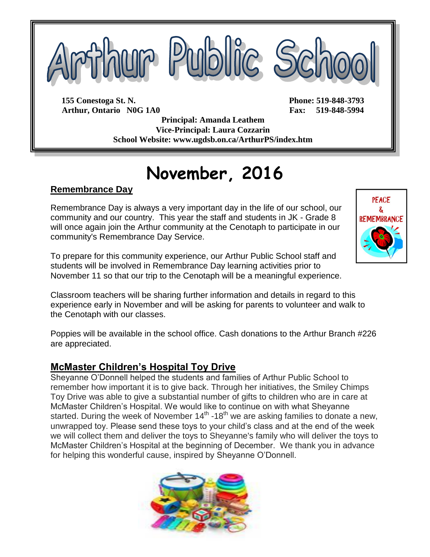

**Arthur, Ontario N0G 1A0 Fax: 519-848-5994**

**Principal: Amanda Leathem Vice-Principal: Laura Cozzarin School Website: www.ugdsb.on.ca/ArthurPS/index.htm**

# **November, 2016**

#### **Remembrance Day**

Remembrance Day is always a very important day in the life of our school, our community and our country. This year the staff and students in JK - Grade 8 will once again join the Arthur community at the Cenotaph to participate in our community's Remembrance Day Service.



Classroom teachers will be sharing further information and details in regard to this experience early in November and will be asking for parents to volunteer and walk to the Cenotaph with our classes.

Poppies will be available in the school office. Cash donations to the Arthur Branch #226 are appreciated.

### **McMaster Children's Hospital Toy Drive**

Sheyanne O'Donnell helped the students and families of Arthur Public School to remember how important it is to give back. Through her initiatives, the Smiley Chimps Toy Drive was able to give a substantial number of gifts to children who are in care at McMaster Children's Hospital. We would like to continue on with what Sheyanne started. During the week of November  $14<sup>th</sup>$  -18<sup>th</sup> we are asking families to donate a new, unwrapped toy. Please send these toys to your child's class and at the end of the week we will collect them and deliver the toys to Sheyanne's family who will deliver the toys to McMaster Children's Hospital at the beginning of December. We thank you in advance for helping this wonderful cause, inspired by Sheyanne O'Donnell.



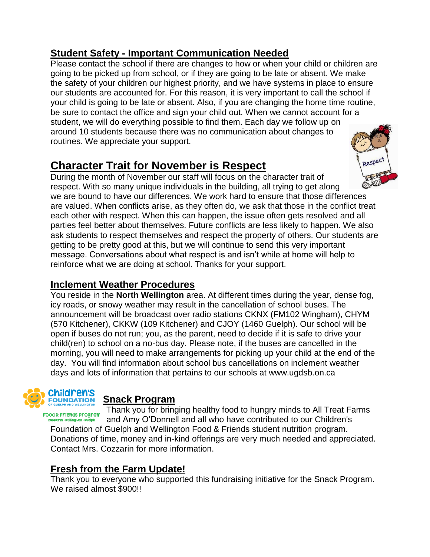## **Student Safety - Important Communication Needed**

Please contact the school if there are changes to how or when your child or children are going to be picked up from school, or if they are going to be late or absent. We make the safety of your children our highest priority, and we have systems in place to ensure our students are accounted for. For this reason, it is very important to call the school if your child is going to be late or absent. Also, if you are changing the home time routine, be sure to contact the office and sign your child out. When we cannot account for a student, we will do everything possible to find them. Each day we follow up on around 10 students because there was no communication about changes to routines. We appreciate your support.

## **Character Trait for November is Respect**

During the month of November our staff will focus on the character trait of respect. With so many unique individuals in the building, all trying to get along we are bound to have our differences. We work hard to ensure that those differences are valued. When conflicts arise, as they often do, we ask that those in the conflict treat each other with respect. When this can happen, the issue often gets resolved and all parties feel better about themselves. Future conflicts are less likely to happen. We also ask students to respect themselves and respect the property of others. Our students are getting to be pretty good at this, but we will continue to send this very important message. Conversations about what respect is and isn't while at home will help to reinforce what we are doing at school. Thanks for your support.

### **Inclement Weather Procedures**

You reside in the **North Wellington** area. At different times during the year, dense fog, icy roads, or snowy weather may result in the cancellation of school buses. The announcement will be broadcast over radio stations CKNX (FM102 Wingham), CHYM (570 Kitchener), CKKW (109 Kitchener) and CJOY (1460 Guelph). Our school will be open if buses do not run; you, as the parent, need to decide if it is safe to drive your child(ren) to school on a no-bus day. Please note, if the buses are cancelled in the morning, you will need to make arrangements for picking up your child at the end of the day. You will find information about school bus cancellations on inclement weather days and lots of information that pertains to our schools at www.ugdsb.on.ca



## **Snack Program**

Thank you for bringing healthy food to hungry minds to All Treat Farms Food & Friends Program and Amy O'Donnell and all who have contributed to our Children's Foundation of Guelph and Wellington Food & Friends student nutrition program. Donations of time, money and in-kind offerings are very much needed and appreciated. Contact Mrs. Cozzarin for more information.

## **Fresh from the Farm Update!**

Thank you to everyone who supported this fundraising initiative for the Snack Program. We raised almost \$900!!

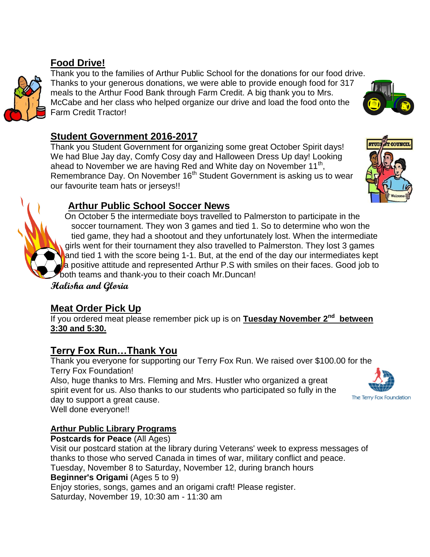## **Food Drive!**

Thank you to the families of Arthur Public School for the donations for our food drive. Thanks to your generous donations, we were able to provide enough food for 317 meals to the Arthur Food Bank through Farm Credit. A big thank you to Mrs. McCabe and her class who helped organize our drive and load the food onto the Farm Credit Tractor!

#### **Student Government 2016-2017**

Thank you Student Government for organizing some great October Spirit days! We had Blue Jay day, Comfy Cosy day and Halloween Dress Up day! Looking ahead to November we are having Red and White day on November 11<sup>th</sup>, Remembrance Day. On November 16<sup>th</sup> Student Government is asking us to wear our favourite team hats or jerseys!!



## **Arthur Public School Soccer News**

On October 5 the intermediate boys travelled to Palmerston to participate in the soccer tournament. They won 3 games and tied 1. So to determine who won the tied game, they had a shootout and they unfortunately lost. When the intermediate girls went for their tournament they also travelled to Palmerston. They lost 3 games and tied 1 with the score being 1-1. But, at the end of the day our intermediates kept a positive attitude and represented Arthur P.S with smiles on their faces. Good job to both teams and thank-you to their coach Mr.Duncan!

**Halisha and Gloria**

### **Meat Order Pick Up**

If you ordered meat please remember pick up is on Tuesday November 2<sup>nd</sup> between **3:30 and 5:30.**

### **Terry Fox Run…Thank You**

Thank you everyone for supporting our Terry Fox Run. We raised over \$100.00 for the Terry Fox Foundation!

Also, huge thanks to Mrs. Fleming and Mrs. Hustler who organized a great spirit event for us. Also thanks to our students who participated so fully in the day to support a great cause.

Well done everyone!!

#### **Arthur Public Library Programs**

**Postcards for Peace** (All Ages) Visit our postcard station at the library during Veterans' week to express messages of thanks to those who served Canada in times of war, military conflict and peace. Tuesday, November 8 to Saturday, November 12, during branch hours **Beginner's Origami** (Ages 5 to 9) Enjoy stories, songs, games and an origami craft! Please register. Saturday, November 19, 10:30 am - 11:30 am

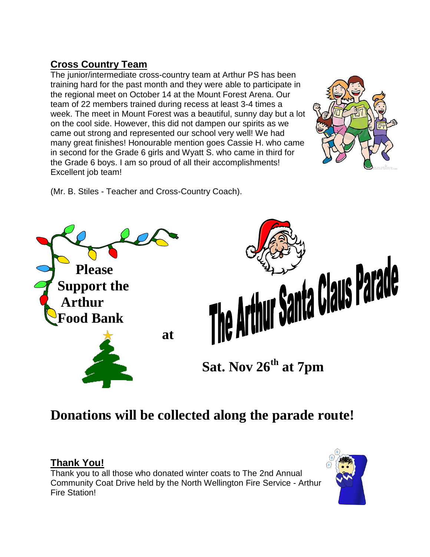## **Cross Country Team**

The junior/intermediate cross-country team at Arthur PS has been training hard for the past month and they were able to participate in the regional meet on October 14 at the Mount Forest Arena. Our team of 22 members trained during recess at least 3-4 times a week. The meet in Mount Forest was a beautiful, sunny day but a lot on the cool side. However, this did not dampen our spirits as we came out strong and represented our school very well! We had many great finishes! Honourable mention goes Cassie H. who came in second for the Grade 6 girls and Wyatt S. who came in third for the Grade 6 boys. I am so proud of all their accomplishments! Excellent job team!



(Mr. B. Stiles - Teacher and Cross-Country Coach).



## **Donations will be collected along the parade route!**

### **Thank You!**

Thank you to all those who donated winter coats to The 2nd Annual Community Coat Drive held by the North Wellington Fire Service - Arthur Fire Station!

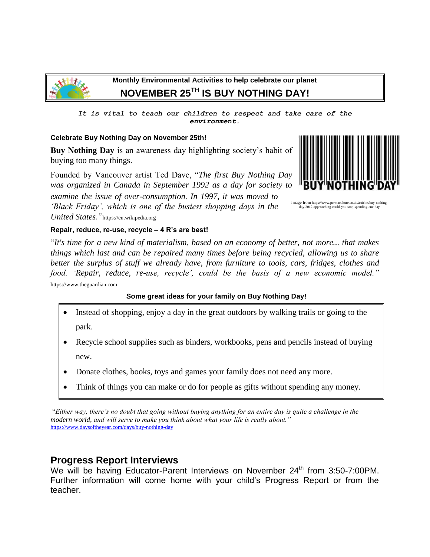

#### **Monthly Environmental Activities to help celebrate our planet NOVEMBER 25TH IS BUY NOTHING DAY!**

*It is vital to teach our children to respect and take care of the environment.*

#### **Celebrate Buy Nothing Day on November 25th!**

**Buy Nothing Day** is an awareness day highlighting society's habit of buying too many things.

Founded by Vancouver artist Ted Dave, "*The first Buy Nothing Day was organized in Canada in September 1992 as a day for society to* 

*examine the issue of over-consumption. In 1997, it was moved to 'Black Friday', which is one of the busiest shopping days in the United States."* https://en.wikipedia.org



day-2012-approaching-could-you-stop-spending-one-day

**Repair, reduce, re-use, recycle – 4 R's are best!**

"*It's time for a new kind of materialism, based on an economy of better, not more... that makes things which last and can be repaired many times before being recycled, allowing us to share better the surplus of stuff we already have, from furniture to tools, cars, fridges, clothes and food. 'Repair, reduce, re-use, recycle', could be the basis of a new economic model."* https://www.theguardian.com

#### **Some great ideas for your family on Buy Nothing Day!**

- Instead of shopping, enjoy a day in the great outdoors by walking trails or going to the park.
- Recycle school supplies such as binders, workbooks, pens and pencils instead of buying new.
- Donate clothes, books, toys and games your family does not need any more.
- Think of things you can make or do for people as gifts without spending any money.

"*Either way, there's no doubt that going without buying anything for an entire day is quite a challenge in the modern world, and will serve to make you think about what your life is really about."*  <https://www.daysoftheyear.com/days/buy-nothing-day>

#### **Progress Report Interviews**

We will be having Educator-Parent Interviews on November 24<sup>th</sup> from 3:50-7:00PM. Further information will come home with your child's Progress Report or from the teacher.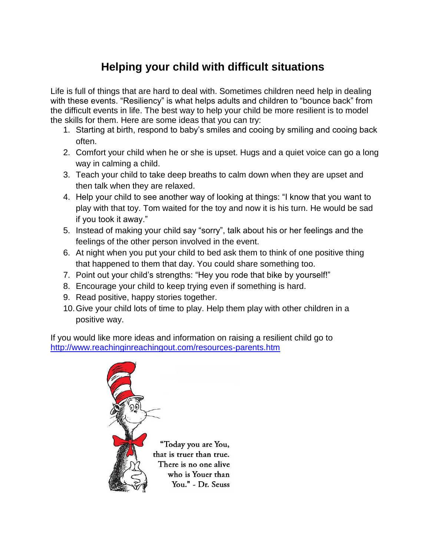## **Helping your child with difficult situations**

Life is full of things that are hard to deal with. Sometimes children need help in dealing with these events. "Resiliency" is what helps adults and children to "bounce back" from the difficult events in life. The best way to help your child be more resilient is to model the skills for them. Here are some ideas that you can try:

- 1. Starting at birth, respond to baby's smiles and cooing by smiling and cooing back often.
- 2. Comfort your child when he or she is upset. Hugs and a quiet voice can go a long way in calming a child.
- 3. Teach your child to take deep breaths to calm down when they are upset and then talk when they are relaxed.
- 4. Help your child to see another way of looking at things: "I know that you want to play with that toy. Tom waited for the toy and now it is his turn. He would be sad if you took it away."
- 5. Instead of making your child say "sorry", talk about his or her feelings and the feelings of the other person involved in the event.
- 6. At night when you put your child to bed ask them to think of one positive thing that happened to them that day. You could share something too.
- 7. Point out your child's strengths: "Hey you rode that bike by yourself!"
- 8. Encourage your child to keep trying even if something is hard.
- 9. Read positive, happy stories together.
- 10.Give your child lots of time to play. Help them play with other children in a positive way.

If you would like more ideas and information on raising a resilient child go to <http://www.reachinginreachingout.com/resources-parents.htm>



"Today you are You, that is truer than true. There is no one alive who is Youer than You." - Dr. Seuss